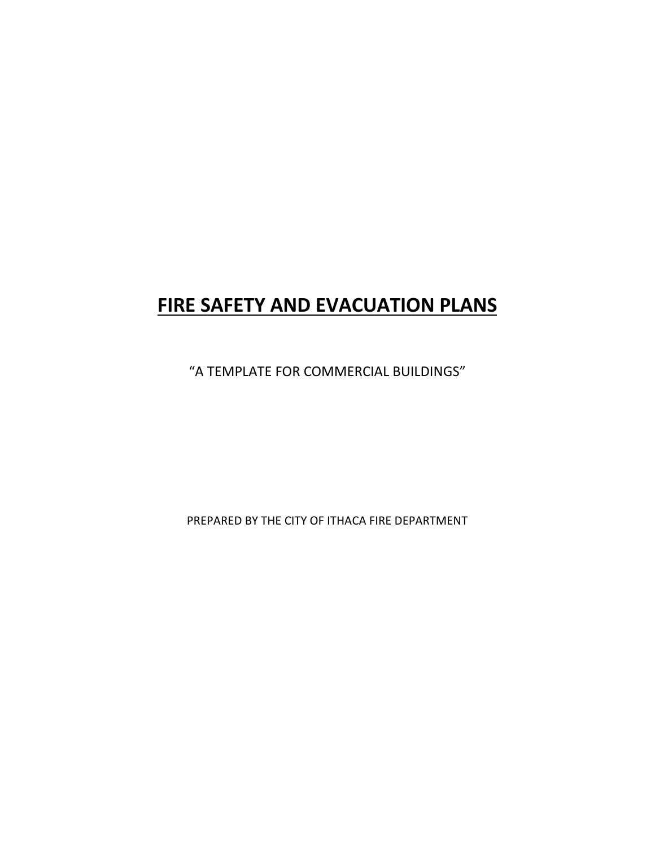# **FIRE SAFETY AND EVACUATION PLANS**

"A TEMPLATE FOR COMMERCIAL BUILDINGS"

PREPARED BY THE CITY OF ITHACA FIRE DEPARTMENT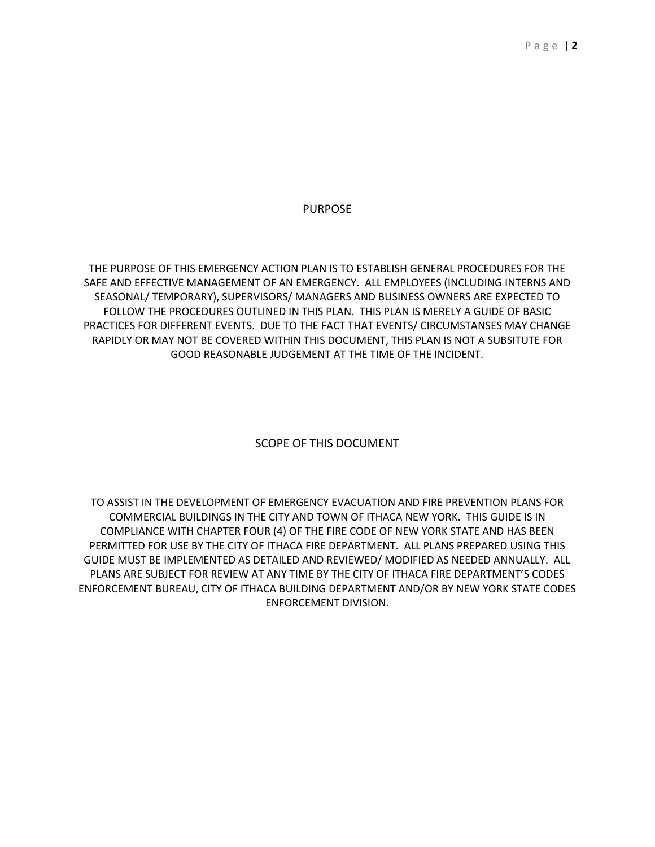PURPOSE

THE PURPOSE OF THIS EMERGENCY ACTION PLAN IS TO ESTABLISH GENERAL PROCEDURES FOR THE SAFE AND EFFECTIVE MANAGEMENT OF AN EMERGENCY. ALL EMPLOYEES (INCLUDING INTERNS AND SEASONAL/ TEMPORARY), SUPERVISORS/ MANAGERS AND BUSINESS OWNERS ARE EXPECTED TO FOLLOW THE PROCEDURES OUTLINED IN THIS PLAN. THIS PLAN IS MERELY A GUIDE OF BASIC PRACTICES FOR DIFFERENT EVENTS. DUE TO THE FACT THAT EVENTS/ CIRCUMSTANSES MAY CHANGE RAPIDLY OR MAY NOT BE COVERED WITHIN THIS DOCUMENT, THIS PLAN IS NOT A SUBSITUTE FOR GOOD REASONABLE JUDGEMENT AT THE TIME OF THE INCIDENT.

SCOPE OF THIS DOCUMENT

TO ASSIST IN THE DEVELOPMENT OF EMERGENCY EVACUATION AND FIRE PREVENTION PLANS FOR COMMERCIAL BUILDINGS IN THE CITY AND TOWN OF ITHACA NEW YORK. THIS GUIDE IS IN COMPLIANCE WITH CHAPTER FOUR (4) OF THE FIRE CODE OF NEW YORK STATE AND HAS BEEN PERMITTED FOR USE BY THE CITY OF ITHACA FIRE DEPARTMENT. ALL PLANS PREPARED USING THIS GUIDE MUST BE IMPLEMENTED AS DETAILED AND REVIEWED/ MODIFIED AS NEEDED ANNUALLY. ALL PLANS ARE SUBJECT FOR REVIEW AT ANY TIME BY THE CITY OF ITHACA FIRE DEPARTMENT'S CODES ENFORCEMENT BUREAU, CITY OF ITHACA BUILDING DEPARTMENT AND/OR BY NEW YORK STATE CODES ENFORCEMENT DIVISION.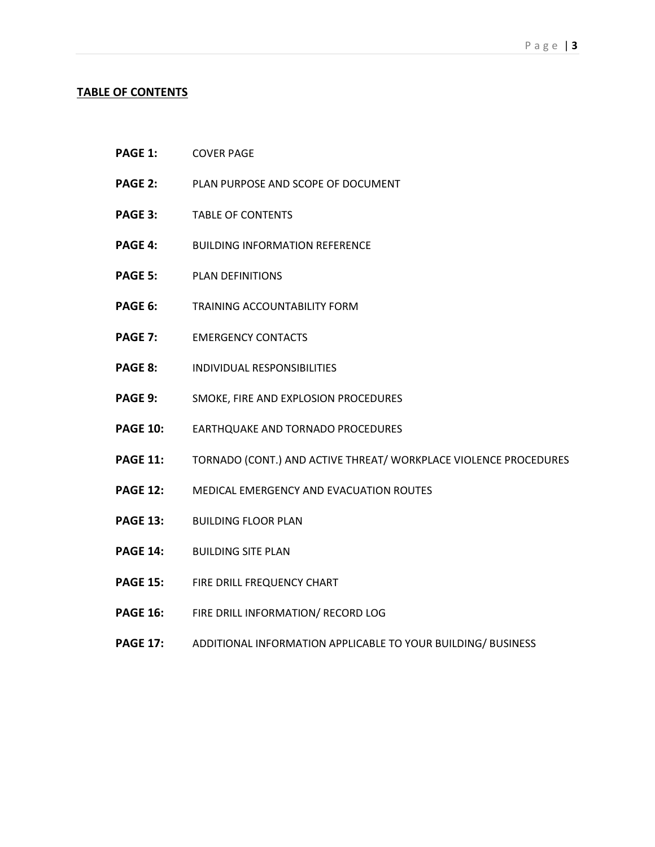#### **TABLE OF CONTENTS**

- **PAGE 1:** COVER PAGE
- **PAGE 2:** PLAN PURPOSE AND SCOPE OF DOCUMENT
- **PAGE 3:** TABLE OF CONTENTS
- **PAGE 4:** BUILDING INFORMATION REFERENCE
- **PAGE 5:** PLAN DEFINITIONS
- **PAGE 6:** TRAINING ACCOUNTABILITY FORM
- **PAGE 7:** EMERGENCY CONTACTS
- **PAGE 8:** INDIVIDUAL RESPONSIBILITIES
- **PAGE 9:** SMOKE, FIRE AND EXPLOSION PROCEDURES
- **PAGE 10:** EARTHQUAKE AND TORNADO PROCEDURES
- **PAGE 11:** TORNADO (CONT.) AND ACTIVE THREAT/ WORKPLACE VIOLENCE PROCEDURES
- **PAGE 12:** MEDICAL EMERGENCY AND EVACUATION ROUTES
- **PAGE 13:** BUILDING FLOOR PLAN
- **PAGE 14:** BUILDING SITE PLAN
- **PAGE 15:** FIRE DRILL FREQUENCY CHART
- **PAGE 16:** FIRE DRILL INFORMATION/ RECORD LOG
- **PAGE 17:** ADDITIONAL INFORMATION APPLICABLE TO YOUR BUILDING/ BUSINESS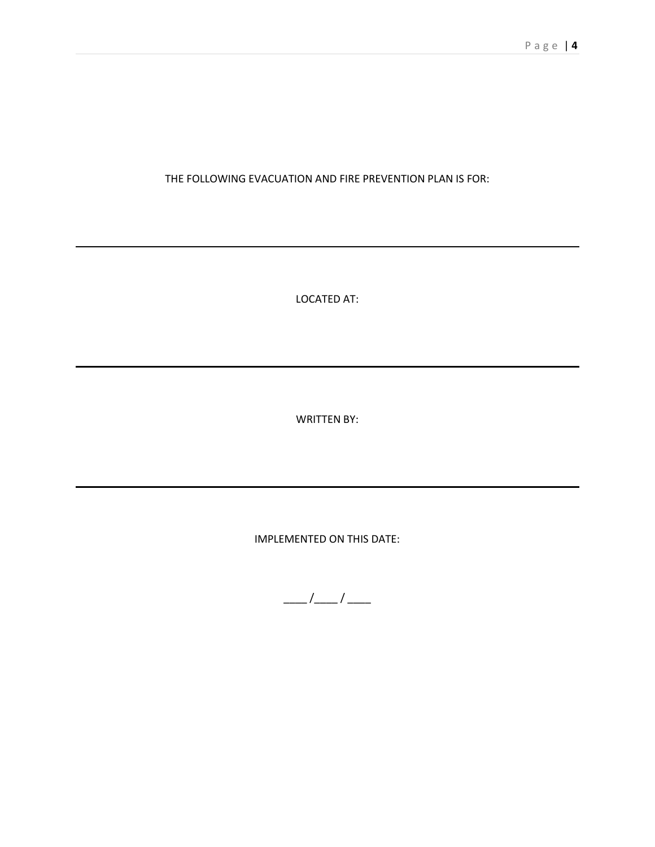# THE FOLLOWING EVACUATION AND FIRE PREVENTION PLAN IS FOR:

LOCATED AT:

WRITTEN BY:

IMPLEMENTED ON THIS DATE:

 $\frac{\frac{1}{2}}{\frac{1}{2}}$  /  $\frac{\frac{1}{2}}{\frac{1}{2}}$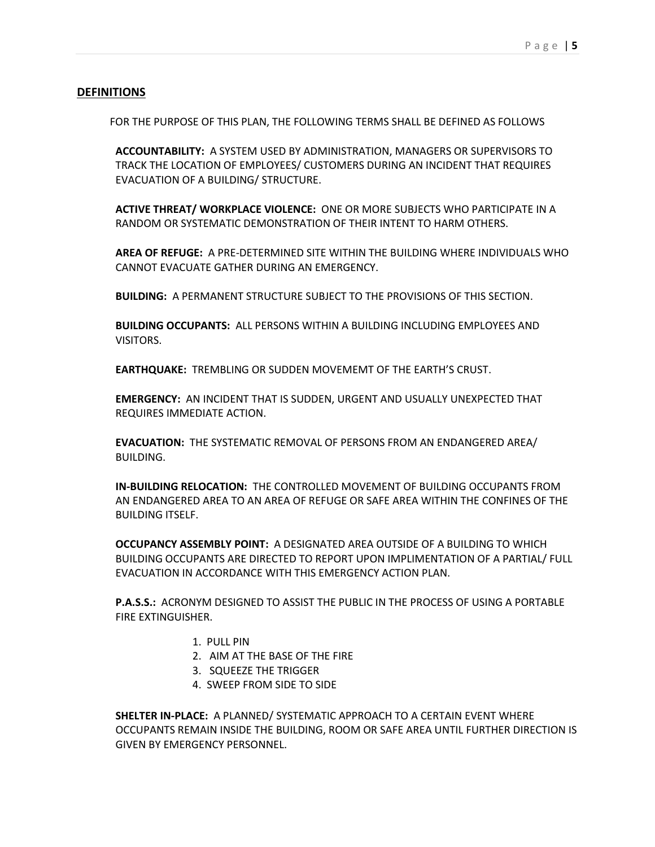#### **DEFINITIONS**

FOR THE PURPOSE OF THIS PLAN, THE FOLLOWING TERMS SHALL BE DEFINED AS FOLLOWS

**ACCOUNTABILITY:** A SYSTEM USED BY ADMINISTRATION, MANAGERS OR SUPERVISORS TO TRACK THE LOCATION OF EMPLOYEES/ CUSTOMERS DURING AN INCIDENT THAT REQUIRES EVACUATION OF A BUILDING/ STRUCTURE.

**ACTIVE THREAT/ WORKPLACE VIOLENCE:** ONE OR MORE SUBJECTS WHO PARTICIPATE IN A RANDOM OR SYSTEMATIC DEMONSTRATION OF THEIR INTENT TO HARM OTHERS.

**AREA OF REFUGE:** A PRE-DETERMINED SITE WITHIN THE BUILDING WHERE INDIVIDUALS WHO CANNOT EVACUATE GATHER DURING AN EMERGENCY.

**BUILDING:** A PERMANENT STRUCTURE SUBJECT TO THE PROVISIONS OF THIS SECTION.

**BUILDING OCCUPANTS:** ALL PERSONS WITHIN A BUILDING INCLUDING EMPLOYEES AND VISITORS.

**EARTHQUAKE:** TREMBLING OR SUDDEN MOVEMEMT OF THE EARTH'S CRUST.

**EMERGENCY:** AN INCIDENT THAT IS SUDDEN, URGENT AND USUALLY UNEXPECTED THAT REQUIRES IMMEDIATE ACTION.

**EVACUATION:** THE SYSTEMATIC REMOVAL OF PERSONS FROM AN ENDANGERED AREA/ BUILDING.

**IN-BUILDING RELOCATION:** THE CONTROLLED MOVEMENT OF BUILDING OCCUPANTS FROM AN ENDANGERED AREA TO AN AREA OF REFUGE OR SAFE AREA WITHIN THE CONFINES OF THE BUILDING ITSELF.

**OCCUPANCY ASSEMBLY POINT:** A DESIGNATED AREA OUTSIDE OF A BUILDING TO WHICH BUILDING OCCUPANTS ARE DIRECTED TO REPORT UPON IMPLIMENTATION OF A PARTIAL/ FULL EVACUATION IN ACCORDANCE WITH THIS EMERGENCY ACTION PLAN.

**P.A.S.S.:** ACRONYM DESIGNED TO ASSIST THE PUBLIC IN THE PROCESS OF USING A PORTABLE FIRE EXTINGUISHER.

- 1. PULL PIN
- 2. AIM AT THE BASE OF THE FIRE
- 3. SQUEEZE THE TRIGGER
- 4. SWEEP FROM SIDE TO SIDE

**SHELTER IN-PLACE:** A PLANNED/ SYSTEMATIC APPROACH TO A CERTAIN EVENT WHERE OCCUPANTS REMAIN INSIDE THE BUILDING, ROOM OR SAFE AREA UNTIL FURTHER DIRECTION IS GIVEN BY EMERGENCY PERSONNEL.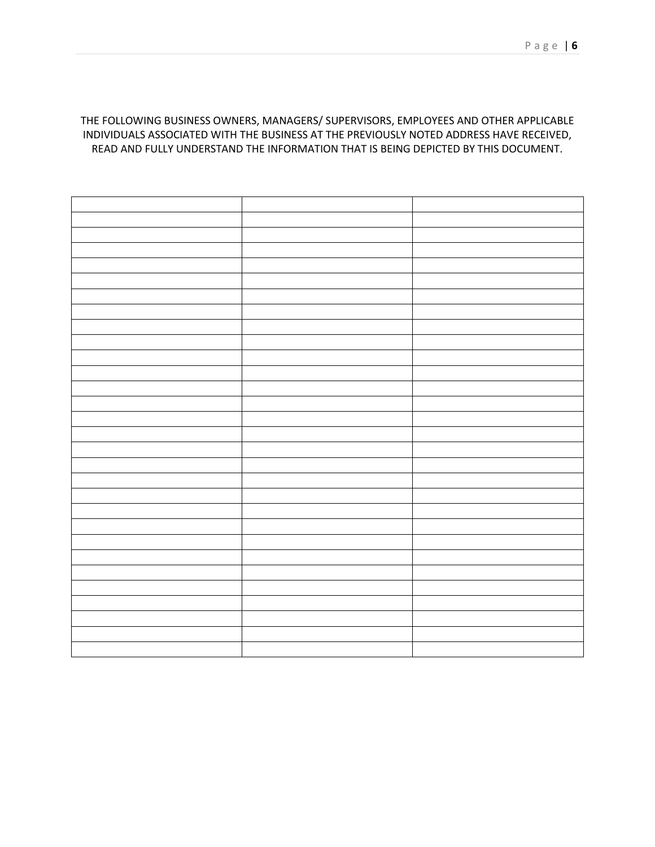# THE FOLLOWING BUSINESS OWNERS, MANAGERS/ SUPERVISORS, EMPLOYEES AND OTHER APPLICABLE INDIVIDUALS ASSOCIATED WITH THE BUSINESS AT THE PREVIOUSLY NOTED ADDRESS HAVE RECEIVED, READ AND FULLY UNDERSTAND THE INFORMATION THAT IS BEING DEPICTED BY THIS DOCUMENT.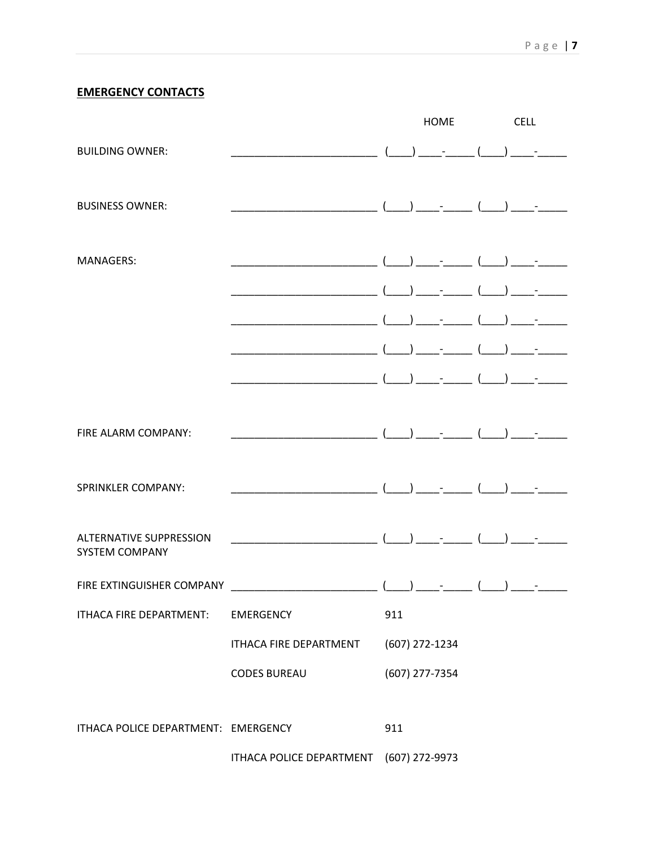# **EMERGENCY CONTACTS**

|                                                         |                               |     | <b>HOME</b>                                    | <b>CELL</b> |                                                                                                                                                                      |
|---------------------------------------------------------|-------------------------------|-----|------------------------------------------------|-------------|----------------------------------------------------------------------------------------------------------------------------------------------------------------------|
| <b>BUILDING OWNER:</b>                                  |                               |     | $( )$ $ ( )$ $-$                               |             |                                                                                                                                                                      |
| <b>BUSINESS OWNER:</b>                                  |                               |     |                                                |             |                                                                                                                                                                      |
| <b>MANAGERS:</b>                                        |                               |     |                                                |             |                                                                                                                                                                      |
|                                                         |                               |     |                                                |             |                                                                                                                                                                      |
|                                                         |                               |     |                                                |             |                                                                                                                                                                      |
|                                                         |                               |     |                                                |             |                                                                                                                                                                      |
| FIRE ALARM COMPANY:                                     |                               |     | $\begin{pmatrix} 1 & 1 \\ 1 & 1 \end{pmatrix}$ |             |                                                                                                                                                                      |
| <b>SPRINKLER COMPANY:</b>                               |                               |     |                                                |             |                                                                                                                                                                      |
|                                                         |                               |     |                                                |             |                                                                                                                                                                      |
| <b>ALTERNATIVE SUPPRESSION</b><br><b>SYSTEM COMPANY</b> |                               |     |                                                |             |                                                                                                                                                                      |
| FIRE EXTINGUISHER COMPANY                               |                               |     |                                                |             | $\begin{array}{ c c c c c c }\hline \quad \quad & - & \quad \quad & - & \quad \quad \\ \hline \quad \quad & - & \quad \quad & - & \quad \quad \\ \hline \end{array}$ |
| ITHACA FIRE DEPARTMENT:                                 | <b>EMERGENCY</b>              | 911 |                                                |             |                                                                                                                                                                      |
|                                                         | <b>ITHACA FIRE DEPARTMENT</b> |     | (607) 272-1234                                 |             |                                                                                                                                                                      |
|                                                         | <b>CODES BUREAU</b>           |     | (607) 277-7354                                 |             |                                                                                                                                                                      |
| ITHACA POLICE DEPARTMENT: EMERGENCY                     |                               | 911 |                                                |             |                                                                                                                                                                      |
|                                                         | ITHACA POLICE DEPARTMENT      |     | (607) 272-9973                                 |             |                                                                                                                                                                      |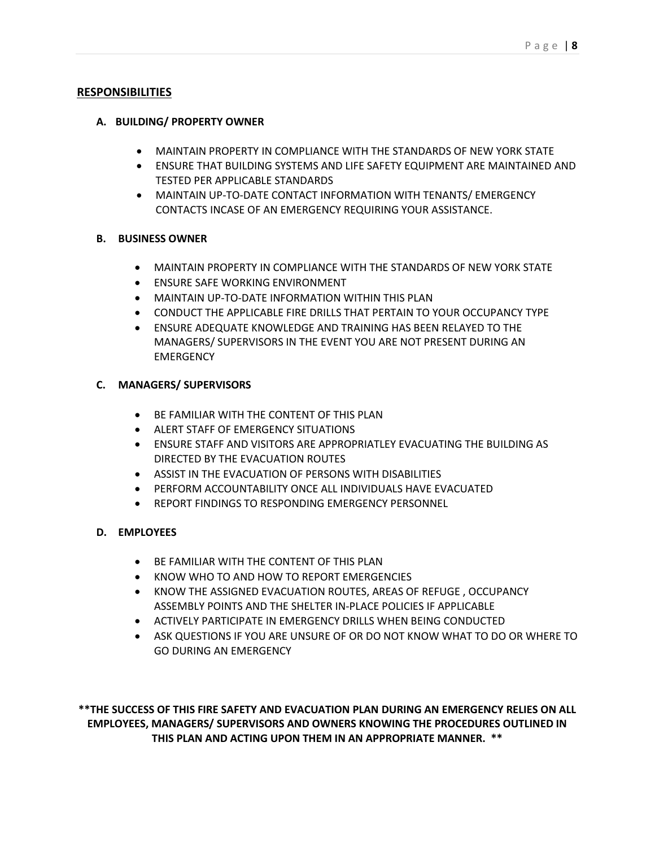#### **RESPONSIBILITIES**

#### **A. BUILDING/ PROPERTY OWNER**

- MAINTAIN PROPERTY IN COMPLIANCE WITH THE STANDARDS OF NEW YORK STATE
- ENSURE THAT BUILDING SYSTEMS AND LIFE SAFETY EQUIPMENT ARE MAINTAINED AND TESTED PER APPLICABLE STANDARDS
- MAINTAIN UP-TO-DATE CONTACT INFORMATION WITH TENANTS/ EMERGENCY CONTACTS INCASE OF AN EMERGENCY REQUIRING YOUR ASSISTANCE.

#### **B. BUSINESS OWNER**

- MAINTAIN PROPERTY IN COMPLIANCE WITH THE STANDARDS OF NEW YORK STATE
- **ENSURE SAFE WORKING ENVIRONMENT**
- MAINTAIN UP-TO-DATE INFORMATION WITHIN THIS PLAN
- CONDUCT THE APPLICABLE FIRE DRILLS THAT PERTAIN TO YOUR OCCUPANCY TYPE
- ENSURE ADEQUATE KNOWLEDGE AND TRAINING HAS BEEN RELAYED TO THE MANAGERS/ SUPERVISORS IN THE EVENT YOU ARE NOT PRESENT DURING AN **FMFRGFNCY**

# **C. MANAGERS/ SUPERVISORS**

- BE FAMILIAR WITH THE CONTENT OF THIS PLAN
- ALERT STAFF OF EMERGENCY SITUATIONS
- ENSURE STAFF AND VISITORS ARE APPROPRIATLEY EVACUATING THE BUILDING AS DIRECTED BY THE EVACUATION ROUTES
- ASSIST IN THE EVACUATION OF PERSONS WITH DISABILITIES
- PERFORM ACCOUNTABILITY ONCE ALL INDIVIDUALS HAVE EVACUATED
- REPORT FINDINGS TO RESPONDING EMERGENCY PERSONNEL

#### **D. EMPLOYEES**

- BE FAMILIAR WITH THE CONTENT OF THIS PLAN
- KNOW WHO TO AND HOW TO REPORT EMERGENCIES
- KNOW THE ASSIGNED EVACUATION ROUTES, AREAS OF REFUGE , OCCUPANCY ASSEMBLY POINTS AND THE SHELTER IN-PLACE POLICIES IF APPLICABLE
- ACTIVELY PARTICIPATE IN EMERGENCY DRILLS WHEN BEING CONDUCTED
- ASK QUESTIONS IF YOU ARE UNSURE OF OR DO NOT KNOW WHAT TO DO OR WHERE TO GO DURING AN EMERGENCY

**\*\*THE SUCCESS OF THIS FIRE SAFETY AND EVACUATION PLAN DURING AN EMERGENCY RELIES ON ALL EMPLOYEES, MANAGERS/ SUPERVISORS AND OWNERS KNOWING THE PROCEDURES OUTLINED IN THIS PLAN AND ACTING UPON THEM IN AN APPROPRIATE MANNER. \*\***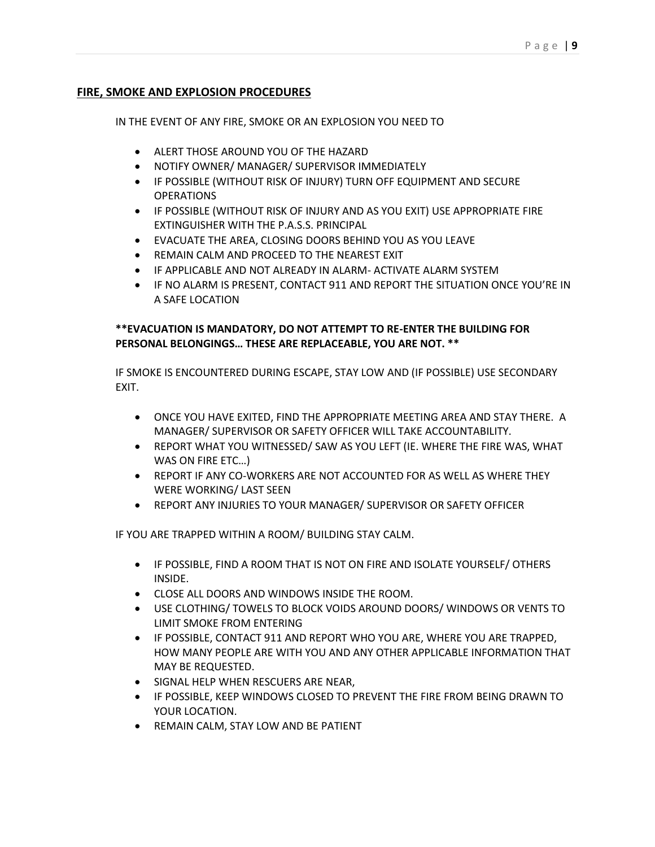# **FIRE, SMOKE AND EXPLOSION PROCEDURES**

IN THE EVENT OF ANY FIRE, SMOKE OR AN EXPLOSION YOU NEED TO

- ALERT THOSE AROUND YOU OF THE HAZARD
- NOTIFY OWNER/ MANAGER/ SUPERVISOR IMMEDIATELY
- IF POSSIBLE (WITHOUT RISK OF INJURY) TURN OFF EQUIPMENT AND SECURE **OPERATIONS**
- IF POSSIBLE (WITHOUT RISK OF INJURY AND AS YOU EXIT) USE APPROPRIATE FIRE EXTINGUISHER WITH THE P.A.S.S. PRINCIPAL
- EVACUATE THE AREA, CLOSING DOORS BEHIND YOU AS YOU LEAVE
- REMAIN CALM AND PROCEED TO THE NEAREST EXIT
- IF APPLICABLE AND NOT ALREADY IN ALARM- ACTIVATE ALARM SYSTEM
- IF NO ALARM IS PRESENT, CONTACT 911 AND REPORT THE SITUATION ONCE YOU'RE IN A SAFE LOCATION

# **\*\*EVACUATION IS MANDATORY, DO NOT ATTEMPT TO RE-ENTER THE BUILDING FOR PERSONAL BELONGINGS… THESE ARE REPLACEABLE, YOU ARE NOT. \*\***

IF SMOKE IS ENCOUNTERED DURING ESCAPE, STAY LOW AND (IF POSSIBLE) USE SECONDARY EXIT.

- ONCE YOU HAVE EXITED, FIND THE APPROPRIATE MEETING AREA AND STAY THERE. A MANAGER/ SUPERVISOR OR SAFETY OFFICER WILL TAKE ACCOUNTABILITY.
- REPORT WHAT YOU WITNESSED/ SAW AS YOU LEFT (IE. WHERE THE FIRE WAS, WHAT WAS ON FIRE ETC…)
- REPORT IF ANY CO-WORKERS ARE NOT ACCOUNTED FOR AS WELL AS WHERE THEY WERE WORKING/ LAST SEEN
- REPORT ANY INJURIES TO YOUR MANAGER/ SUPERVISOR OR SAFETY OFFICER

IF YOU ARE TRAPPED WITHIN A ROOM/ BUILDING STAY CALM.

- IF POSSIBLE, FIND A ROOM THAT IS NOT ON FIRE AND ISOLATE YOURSELF/ OTHERS INSIDE.
- CLOSE ALL DOORS AND WINDOWS INSIDE THE ROOM.
- USE CLOTHING/ TOWELS TO BLOCK VOIDS AROUND DOORS/ WINDOWS OR VENTS TO LIMIT SMOKE FROM ENTERING
- IF POSSIBLE, CONTACT 911 AND REPORT WHO YOU ARE, WHERE YOU ARE TRAPPED, HOW MANY PEOPLE ARE WITH YOU AND ANY OTHER APPLICABLE INFORMATION THAT MAY BE REQUESTED.
- **SIGNAL HELP WHEN RESCUERS ARE NEAR,**
- IF POSSIBLE, KEEP WINDOWS CLOSED TO PREVENT THE FIRE FROM BEING DRAWN TO YOUR LOCATION.
- REMAIN CALM, STAY LOW AND BE PATIENT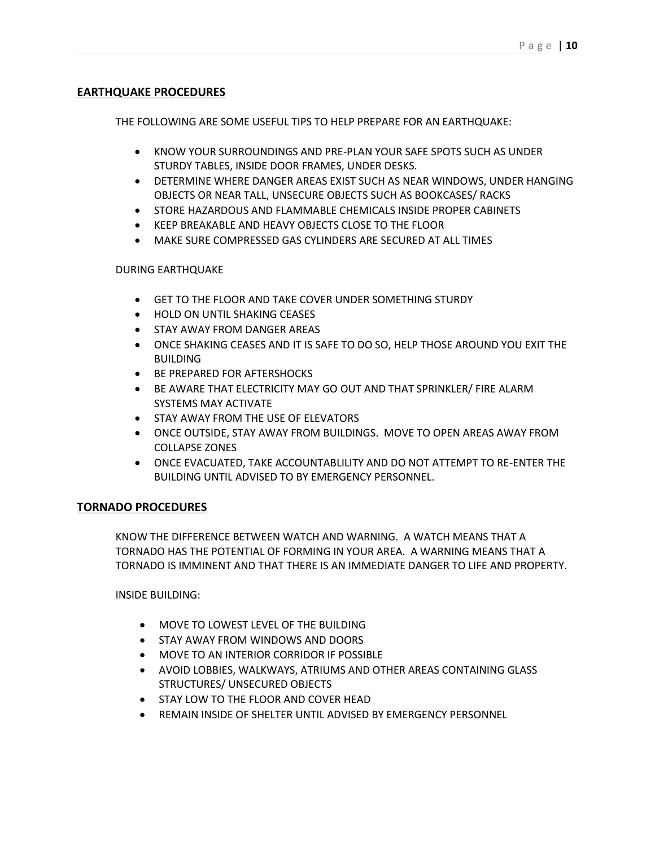# **EARTHQUAKE PROCEDURES**

THE FOLLOWING ARE SOME USEFUL TIPS TO HELP PREPARE FOR AN EARTHQUAKE:

- **KNOW YOUR SURROUNDINGS AND PRE-PLAN YOUR SAFE SPOTS SUCH AS UNDER** STURDY TABLES, INSIDE DOOR FRAMES, UNDER DESKS.
- DETERMINE WHERE DANGER AREAS EXIST SUCH AS NEAR WINDOWS, UNDER HANGING OBJECTS OR NEAR TALL, UNSECURE OBJECTS SUCH AS BOOKCASES/ RACKS
- **STORE HAZARDOUS AND FLAMMABLE CHEMICALS INSIDE PROPER CABINETS**
- KEEP BREAKABLE AND HEAVY OBJECTS CLOSE TO THE FLOOR
- MAKE SURE COMPRESSED GAS CYLINDERS ARE SECURED AT ALL TIMES

#### DURING EARTHQUAKE

- GET TO THE FLOOR AND TAKE COVER UNDER SOMETHING STURDY
- **HOLD ON UNTIL SHAKING CEASES**
- **STAY AWAY FROM DANGER AREAS**
- ONCE SHAKING CEASES AND IT IS SAFE TO DO SO, HELP THOSE AROUND YOU EXIT THE **BUILDING**
- **BE PREPARED FOR AFTERSHOCKS**
- BE AWARE THAT ELECTRICITY MAY GO OUT AND THAT SPRINKLER/ FIRE ALARM SYSTEMS MAY ACTIVATE
- **STAY AWAY FROM THE USE OF ELEVATORS**
- ONCE OUTSIDE, STAY AWAY FROM BUILDINGS. MOVE TO OPEN AREAS AWAY FROM COLLAPSE ZONES
- ONCE EVACUATED, TAKE ACCOUNTABLILITY AND DO NOT ATTEMPT TO RE-ENTER THE BUILDING UNTIL ADVISED TO BY EMERGENCY PERSONNEL.

#### **TORNADO PROCEDURES**

KNOW THE DIFFERENCE BETWEEN WATCH AND WARNING. A WATCH MEANS THAT A TORNADO HAS THE POTENTIAL OF FORMING IN YOUR AREA. A WARNING MEANS THAT A TORNADO IS IMMINENT AND THAT THERE IS AN IMMEDIATE DANGER TO LIFE AND PROPERTY.

INSIDE BUILDING:

- MOVE TO LOWEST LEVEL OF THE BUILDING
- **STAY AWAY FROM WINDOWS AND DOORS**
- MOVE TO AN INTERIOR CORRIDOR IF POSSIBLE
- AVOID LOBBIES, WALKWAYS, ATRIUMS AND OTHER AREAS CONTAINING GLASS STRUCTURES/ UNSECURED OBJECTS
- **STAY LOW TO THE FLOOR AND COVER HEAD**
- **REMAIN INSIDE OF SHELTER UNTIL ADVISED BY EMERGENCY PERSONNEL**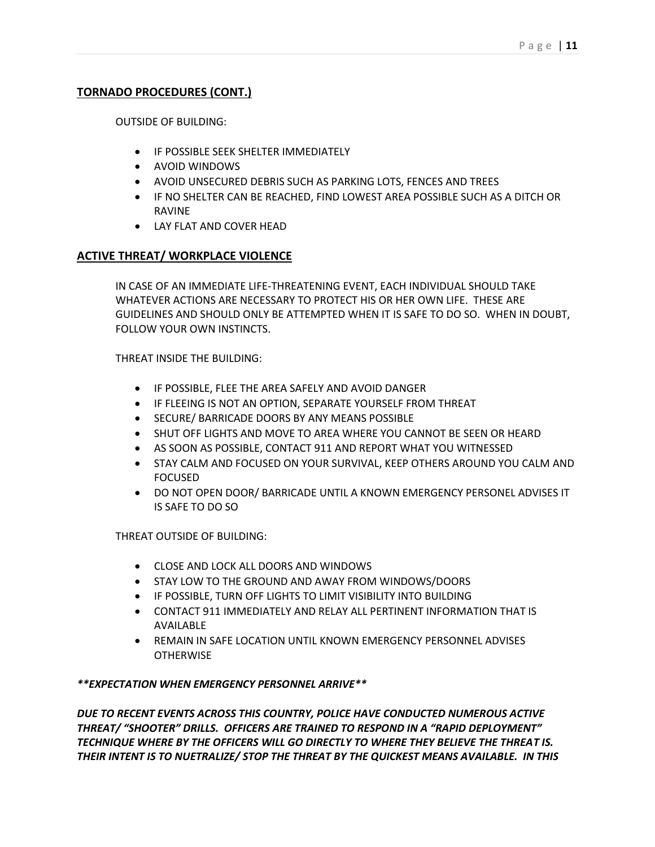# **TORNADO PROCEDURES (CONT.)**

OUTSIDE OF BUILDING:

- **IF POSSIBLE SEEK SHELTER IMMEDIATELY**
- AVOID WINDOWS
- AVOID UNSECURED DEBRIS SUCH AS PARKING LOTS, FENCES AND TREES
- IF NO SHELTER CAN BE REACHED, FIND LOWEST AREA POSSIBLE SUCH AS A DITCH OR RAVINE
- LAY FLAT AND COVER HEAD

# **ACTIVE THREAT/ WORKPLACE VIOLENCE**

IN CASE OF AN IMMEDIATE LIFE-THREATENING EVENT, EACH INDIVIDUAL SHOULD TAKE WHATEVER ACTIONS ARE NECESSARY TO PROTECT HIS OR HER OWN LIFE. THESE ARE GUIDELINES AND SHOULD ONLY BE ATTEMPTED WHEN IT IS SAFE TO DO SO. WHEN IN DOUBT, FOLLOW YOUR OWN INSTINCTS.

THREAT INSIDE THE BUILDING:

- IF POSSIBLE, FLEE THE AREA SAFELY AND AVOID DANGER
- IF FLEEING IS NOT AN OPTION, SEPARATE YOURSELF FROM THREAT
- **SECURE/ BARRICADE DOORS BY ANY MEANS POSSIBLE**
- SHUT OFF LIGHTS AND MOVE TO AREA WHERE YOU CANNOT BE SEEN OR HEARD
- AS SOON AS POSSIBLE, CONTACT 911 AND REPORT WHAT YOU WITNESSED
- $\bullet$  STAY CALM AND FOCUSED ON YOUR SURVIVAL, KEEP OTHERS AROUND YOU CALM AND FOCUSED
- DO NOT OPEN DOOR/ BARRICADE UNTIL A KNOWN EMERGENCY PERSONEL ADVISES IT IS SAFE TO DO SO

THREAT OUTSIDE OF BUILDING:

- CLOSE AND LOCK ALL DOORS AND WINDOWS
- STAY LOW TO THE GROUND AND AWAY FROM WINDOWS/DOORS
- IF POSSIBLE, TURN OFF LIGHTS TO LIMIT VISIBILITY INTO BUILDING
- CONTACT 911 IMMEDIATELY AND RELAY ALL PERTINENT INFORMATION THAT IS AVAILABLE
- REMAIN IN SAFE LOCATION UNTIL KNOWN EMERGENCY PERSONNEL ADVISES **OTHERWISE**

#### *\*\*EXPECTATION WHEN EMERGENCY PERSONNEL ARRIVE\*\**

*DUE TO RECENT EVENTS ACROSS THIS COUNTRY, POLICE HAVE CONDUCTED NUMEROUS ACTIVE THREAT/ "SHOOTER" DRILLS. OFFICERS ARE TRAINED TO RESPOND IN A "RAPID DEPLOYMENT" TECHNIQUE WHERE BY THE OFFICERS WILL GO DIRECTLY TO WHERE THEY BELIEVE THE THREAT IS. THEIR INTENT IS TO NUETRALIZE/ STOP THE THREAT BY THE QUICKEST MEANS AVAILABLE. IN THIS*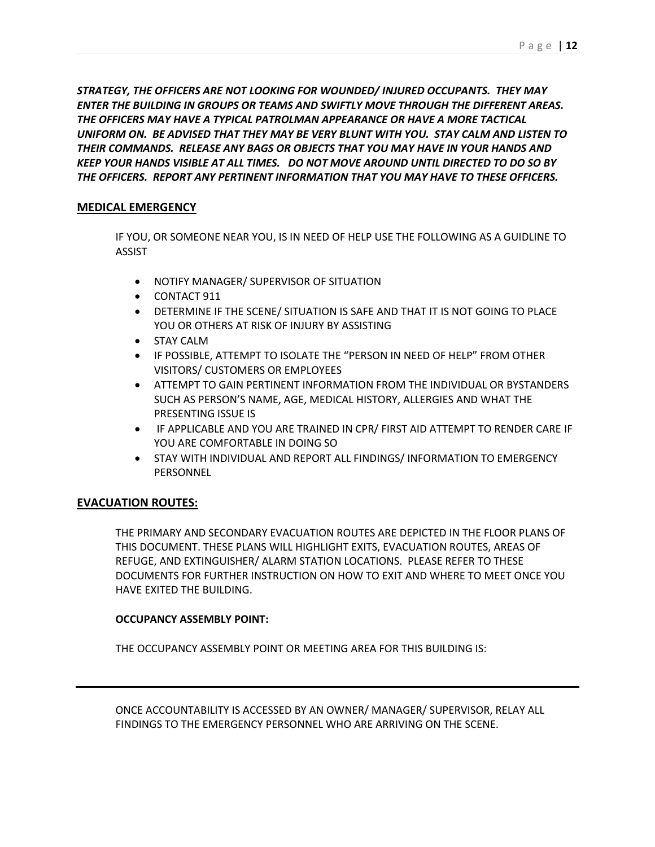*STRATEGY, THE OFFICERS ARE NOT LOOKING FOR WOUNDED/ INJURED OCCUPANTS. THEY MAY ENTER THE BUILDING IN GROUPS OR TEAMS AND SWIFTLY MOVE THROUGH THE DIFFERENT AREAS. THE OFFICERS MAY HAVE A TYPICAL PATROLMAN APPEARANCE OR HAVE A MORE TACTICAL UNIFORM ON. BE ADVISED THAT THEY MAY BE VERY BLUNT WITH YOU. STAY CALM AND LISTEN TO THEIR COMMANDS. RELEASE ANY BAGS OR OBJECTS THAT YOU MAY HAVE IN YOUR HANDS AND KEEP YOUR HANDS VISIBLE AT ALL TIMES. DO NOT MOVE AROUND UNTIL DIRECTED TO DO SO BY THE OFFICERS. REPORT ANY PERTINENT INFORMATION THAT YOU MAY HAVE TO THESE OFFICERS.* 

# **MEDICAL EMERGENCY**

IF YOU, OR SOMEONE NEAR YOU, IS IN NEED OF HELP USE THE FOLLOWING AS A GUIDLINE TO ASSIST

- **NOTIFY MANAGER/ SUPERVISOR OF SITUATION**
- CONTACT 911
- DETERMINE IF THE SCENE/ SITUATION IS SAFE AND THAT IT IS NOT GOING TO PLACE YOU OR OTHERS AT RISK OF INJURY BY ASSISTING
- STAY CALM
- IF POSSIBLE, ATTEMPT TO ISOLATE THE "PERSON IN NEED OF HELP" FROM OTHER VISITORS/ CUSTOMERS OR EMPLOYEES
- ATTEMPT TO GAIN PERTINENT INFORMATION FROM THE INDIVIDUAL OR BYSTANDERS SUCH AS PERSON'S NAME, AGE, MEDICAL HISTORY, ALLERGIES AND WHAT THE PRESENTING ISSUE IS
- IF APPLICABLE AND YOU ARE TRAINED IN CPR/ FIRST AID ATTEMPT TO RENDER CARE IF YOU ARE COMFORTABLE IN DOING SO
- $\bullet$  STAY WITH INDIVIDUAL AND REPORT ALL FINDINGS/ INFORMATION TO EMERGENCY PERSONNEL

# **EVACUATION ROUTES:**

THE PRIMARY AND SECONDARY EVACUATION ROUTES ARE DEPICTED IN THE FLOOR PLANS OF THIS DOCUMENT. THESE PLANS WILL HIGHLIGHT EXITS, EVACUATION ROUTES, AREAS OF REFUGE, AND EXTINGUISHER/ ALARM STATION LOCATIONS. PLEASE REFER TO THESE DOCUMENTS FOR FURTHER INSTRUCTION ON HOW TO EXIT AND WHERE TO MEET ONCE YOU HAVE EXITED THE BUILDING.

#### **OCCUPANCY ASSEMBLY POINT:**

THE OCCUPANCY ASSEMBLY POINT OR MEETING AREA FOR THIS BUILDING IS:

ONCE ACCOUNTABILITY IS ACCESSED BY AN OWNER/ MANAGER/ SUPERVISOR, RELAY ALL FINDINGS TO THE EMERGENCY PERSONNEL WHO ARE ARRIVING ON THE SCENE.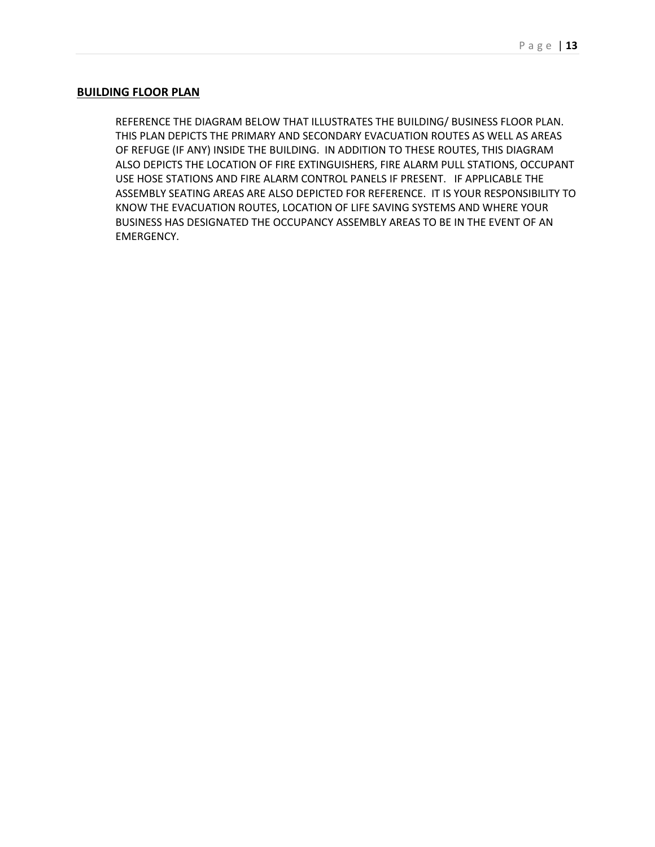#### **BUILDING FLOOR PLAN**

REFERENCE THE DIAGRAM BELOW THAT ILLUSTRATES THE BUILDING/ BUSINESS FLOOR PLAN. THIS PLAN DEPICTS THE PRIMARY AND SECONDARY EVACUATION ROUTES AS WELL AS AREAS OF REFUGE (IF ANY) INSIDE THE BUILDING. IN ADDITION TO THESE ROUTES, THIS DIAGRAM ALSO DEPICTS THE LOCATION OF FIRE EXTINGUISHERS, FIRE ALARM PULL STATIONS, OCCUPANT USE HOSE STATIONS AND FIRE ALARM CONTROL PANELS IF PRESENT. IF APPLICABLE THE ASSEMBLY SEATING AREAS ARE ALSO DEPICTED FOR REFERENCE. IT IS YOUR RESPONSIBILITY TO KNOW THE EVACUATION ROUTES, LOCATION OF LIFE SAVING SYSTEMS AND WHERE YOUR BUSINESS HAS DESIGNATED THE OCCUPANCY ASSEMBLY AREAS TO BE IN THE EVENT OF AN EMERGENCY.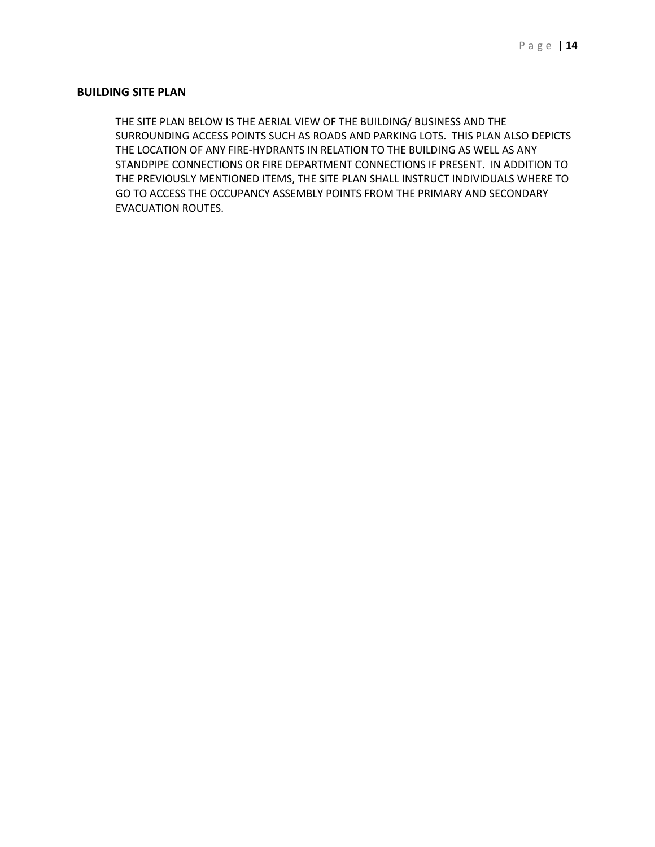#### **BUILDING SITE PLAN**

THE SITE PLAN BELOW IS THE AERIAL VIEW OF THE BUILDING/ BUSINESS AND THE SURROUNDING ACCESS POINTS SUCH AS ROADS AND PARKING LOTS. THIS PLAN ALSO DEPICTS THE LOCATION OF ANY FIRE-HYDRANTS IN RELATION TO THE BUILDING AS WELL AS ANY STANDPIPE CONNECTIONS OR FIRE DEPARTMENT CONNECTIONS IF PRESENT. IN ADDITION TO THE PREVIOUSLY MENTIONED ITEMS, THE SITE PLAN SHALL INSTRUCT INDIVIDUALS WHERE TO GO TO ACCESS THE OCCUPANCY ASSEMBLY POINTS FROM THE PRIMARY AND SECONDARY EVACUATION ROUTES.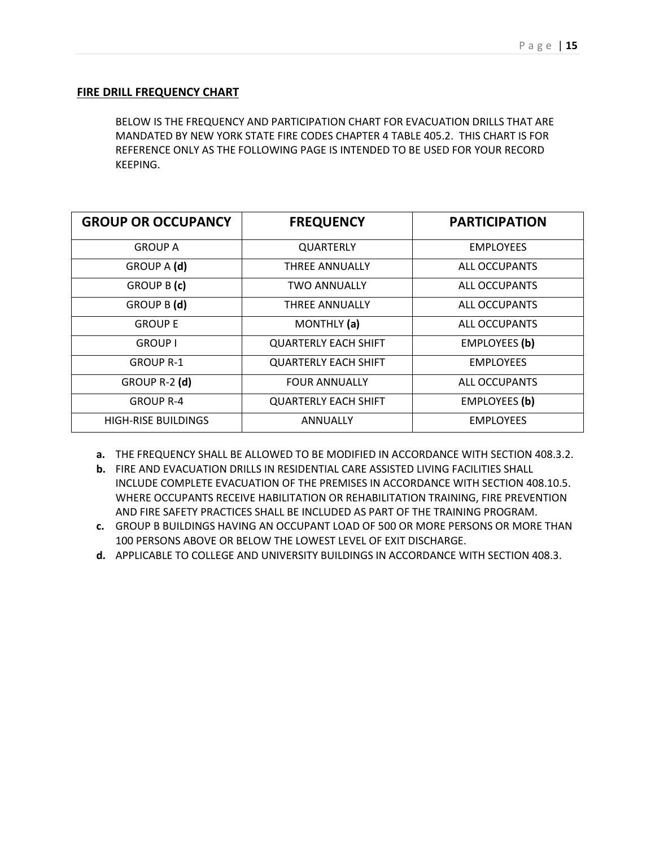#### **FIRE DRILL FREQUENCY CHART**

BELOW IS THE FREQUENCY AND PARTICIPATION CHART FOR EVACUATION DRILLS THAT ARE MANDATED BY NEW YORK STATE FIRE CODES CHAPTER 4 TABLE 405.2. THIS CHART IS FOR REFERENCE ONLY AS THE FOLLOWING PAGE IS INTENDED TO BE USED FOR YOUR RECORD KEEPING.

| <b>GROUP OR OCCUPANCY</b>  | <b>FREQUENCY</b>            | <b>PARTICIPATION</b> |
|----------------------------|-----------------------------|----------------------|
| <b>GROUP A</b>             | <b>QUARTERLY</b>            | <b>EMPLOYEES</b>     |
| GROUP A (d)                | <b>THREE ANNUALLY</b>       | <b>ALL OCCUPANTS</b> |
| GROUP B (c)                | <b>TWO ANNUALLY</b>         | <b>ALL OCCUPANTS</b> |
| GROUP B (d)                | THREE ANNUALLY              | ALL OCCUPANTS        |
| <b>GROUP E</b>             | MONTHLY (a)                 | <b>ALL OCCUPANTS</b> |
| <b>GROUP I</b>             | <b>QUARTERLY EACH SHIFT</b> | <b>EMPLOYEES (b)</b> |
| <b>GROUP R-1</b>           | <b>QUARTERLY EACH SHIFT</b> | <b>EMPLOYEES</b>     |
| GROUP R-2 (d)              | <b>FOUR ANNUALLY</b>        | ALL OCCUPANTS        |
| <b>GROUP R-4</b>           | <b>QUARTERLY EACH SHIFT</b> | <b>EMPLOYEES (b)</b> |
| <b>HIGH-RISE BUILDINGS</b> | ANNUALLY                    | <b>EMPLOYEES</b>     |

- **a.** THE FREQUENCY SHALL BE ALLOWED TO BE MODIFIED IN ACCORDANCE WITH SECTION 408.3.2.
- **b.** FIRE AND EVACUATION DRILLS IN RESIDENTIAL CARE ASSISTED LIVING FACILITIES SHALL INCLUDE COMPLETE EVACUATION OF THE PREMISES IN ACCORDANCE WITH SECTION 408.10.5. WHERE OCCUPANTS RECEIVE HABILITATION OR REHABILITATION TRAINING, FIRE PREVENTION AND FIRE SAFETY PRACTICES SHALL BE INCLUDED AS PART OF THE TRAINING PROGRAM.
- **c.** GROUP B BUILDINGS HAVING AN OCCUPANT LOAD OF 500 OR MORE PERSONS OR MORE THAN 100 PERSONS ABOVE OR BELOW THE LOWEST LEVEL OF EXIT DISCHARGE.
- **d.** APPLICABLE TO COLLEGE AND UNIVERSITY BUILDINGS IN ACCORDANCE WITH SECTION 408.3.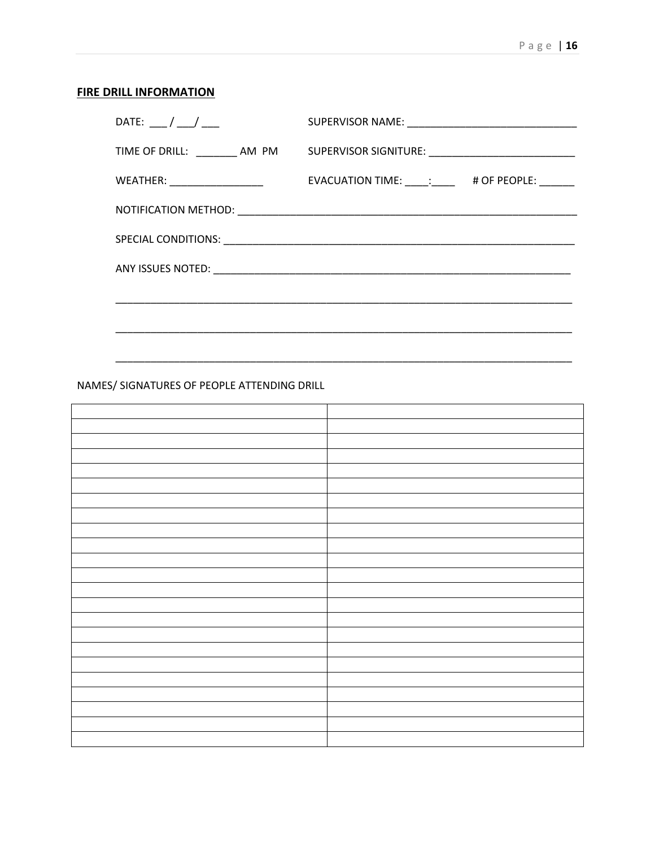# **FIRE DRILL INFORMATION**

| DATE: $\frac{\ }{\ }$ |                                                                                  |
|-----------------------|----------------------------------------------------------------------------------|
|                       | TIME OF DRILL: ________ AM PM SUPERVISOR SIGNITURE: ____________________________ |
|                       | EVACUATION TIME: ____: ____ # OF PEOPLE: _____                                   |
|                       |                                                                                  |
|                       |                                                                                  |
|                       |                                                                                  |
|                       |                                                                                  |
|                       |                                                                                  |
|                       |                                                                                  |

# NAMES/ SIGNATURES OF PEOPLE ATTENDING DRILL